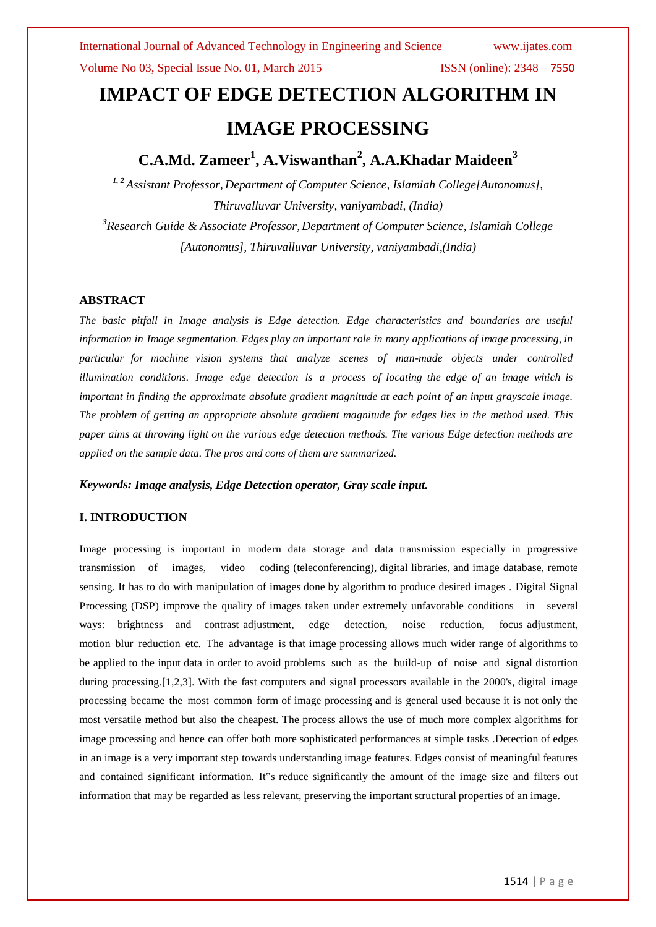# **IMPACT OF EDGE DETECTION ALGORITHM IN IMAGE PROCESSING**

## **C.A.Md. Zameer<sup>1</sup> , A.Viswanthan<sup>2</sup> , A.A.Khadar Maideen<sup>3</sup>**

*1, <sup>2</sup> Assistant Professor, Department of Computer Science, Islamiah College[Autonomus], Thiruvalluvar University, vaniyambadi, (India) <sup>3</sup>Research Guide & Associate Professor, Department of Computer Science, Islamiah College [Autonomus], Thiruvalluvar University, vaniyambadi,(India)*

### **ABSTRACT**

*The basic pitfall in Image analysis is Edge detection. Edge characteristics and boundaries are useful information in Image segmentation. Edges play an important role in many applications of image processing, in particular for machine vision systems that analyze scenes of man-made objects under controlled illumination conditions. Image edge detection is a process of locating the edge of an image which is important in finding the approximate absolute gradient magnitude at each point of an input grayscale image. The problem of getting an appropriate absolute gradient magnitude for edges lies in the method used. This* paper aims at throwing light on the various edge detection methods. The various Edge detection methods are *applied on the sample data. The pros and cons of them are summarized.*

### *Keywords: Image analysis, Edge Detection operator, Gray scale input.*

### **I. INTRODUCTION**

Image processing is important in modern data storage and data transmission especially in progressive transmission of images, video coding (teleconferencing), digital libraries, and image database, remote sensing. It has to do with manipulation of images done by algorithm to produce desired images . Digital Signal Processing (DSP) improve the quality of images taken under extremely unfavorable conditions in several ways: brightness and contrast adjustment, edge detection, noise reduction, focus adjustment, motion blur reduction etc. The advantage is that image processing allows much wider range of algorithms to be applied to the input data in order to avoid problems such as the build-up of noise and signal distortion during processing. [1,2,3]. With the fast computers and signal processors available in the 2000's, digital image processing became the most common form of image processing and is general used because it is not only the most versatile method but also the cheapest. The process allows the use of much more complex algorithms for image processing and hence can offer both more sophisticated performances at simple tasks .Detection of edges in an image is a very important step towards understanding image features. Edges consist of meaningful features and contained significant information. It"s reduce significantly the amount of the image size and filters out information that may be regarded as less relevant, preserving the important structural properties of an image.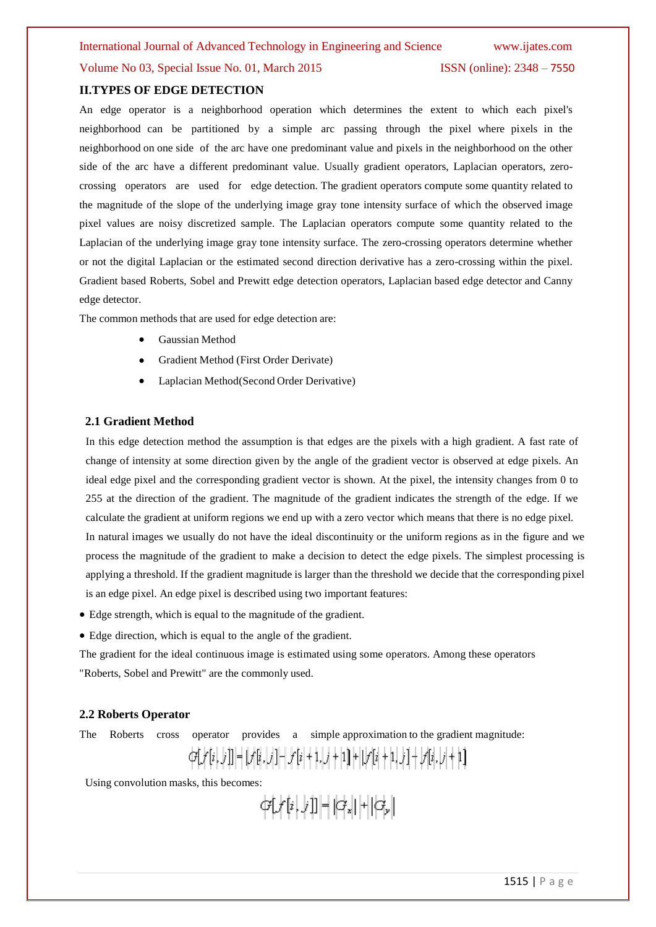### Volume No 03, Special Issue No. 01, March 2015 ISSN (online): 2348 – 7550

#### **II.TYPES OF EDGE DETECTION**

An edge operator is a neighborhood operation which determines the extent to which each pixel's neighborhood can be partitioned by a simple arc passing through the pixel where pixels in the neighborhood on one side of the arc have one predominant value and pixels in the neighborhood on the other side of the arc have a different predominant value. Usually gradient operators, Laplacian operators, zerocrossing operators are used for edge detection. The gradient operators compute some quantity related to the magnitude of the slope of the underlying image gray tone intensity surface of which the observed image pixel values are noisy discretized sample. The Laplacian operators compute some quantity related to the Laplacian of the underlying image gray tone intensity surface. The zero-crossing operators determine whether or not the digital Laplacian or the estimated second direction derivative has a zero-crossing within the pixel. Gradient based Roberts, Sobel and Prewitt edge detection operators, Laplacian based edge detector and Canny edge detector.

The common methods that are used for edge detection are:

- Gaussian Method
- Gradient Method (First Order Derivate)
- Laplacian Method(Second Order Derivative)

#### **2.1 Gradient Method**

In this edge detection method the assumption is that edges are the pixels with a high gradient. A fast rate of change of intensity at some direction given by the angle of the gradient vector is observed at edge pixels. An ideal edge pixel and the corresponding gradient vector is shown. At the pixel, the intensity changes from 0 to 255 at the direction of the gradient. The magnitude of the gradient indicates the strength of the edge. If we calculate the gradient at uniform regions we end up with a zero vector which means that there is no edge pixel. In natural images we usually do not have the ideal discontinuity or the uniform regions as in the figure and we process the magnitude of the gradient to make a decision to detect the edge pixels. The simplest processing is applying a threshold. If the gradient magnitude is larger than the threshold we decide that the corresponding pixel is an edge pixel. An edge pixel is described using two important features:

Edge strength, which is equal to the magnitude of the gradient.

Edge direction, which is equal to the angle of the gradient.

The gradient for the ideal continuous image is estimated using some operators. Among these operators "Roberts, Sobel and Prewitt" are the commonly used.

#### **2.2 Roberts Operator**

The Roberts cross operator provides a simple approximation to the gradient magnitude:

$$
G[f[i,j]] = [f[i,j] - f[i+1,j+1] + [f[i+1,j] - f[i,j+1]]
$$

Using convolution masks, this becomes:

$$
G\big[f[i,j]\big]=\big|G_x\big|+\big|G_y\big|
$$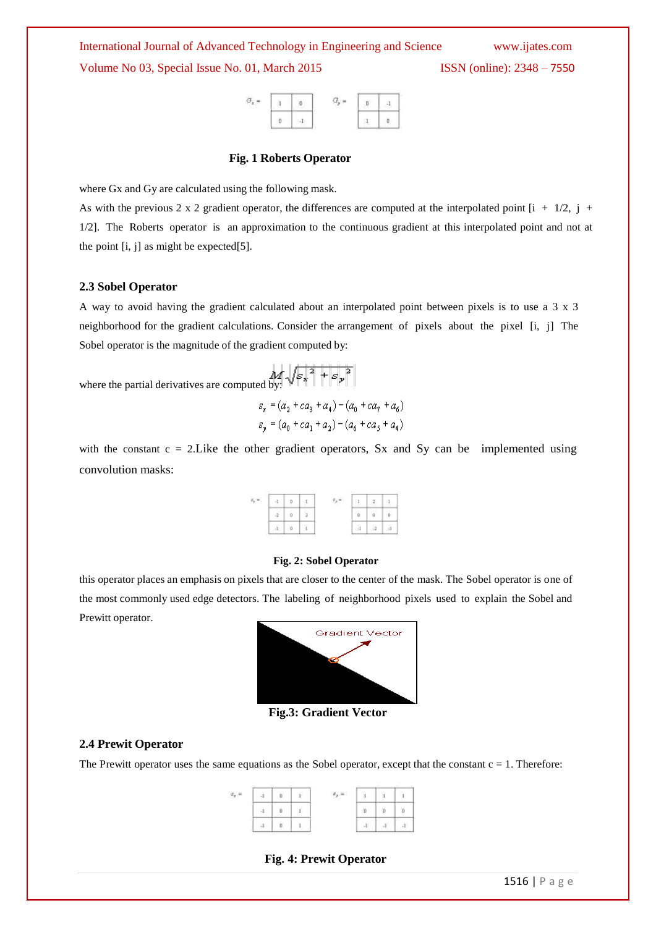International Journal of Advanced Technology in Engineering and Science www.ijates.com Volume No 03, Special Issue No. 01, March 2015 ISSN (online): 2348 – 7550



#### **Fig. 1 Roberts Operator**

where Gx and Gy are calculated using the following mask.

As with the previous 2 x 2 gradient operator, the differences are computed at the interpolated point  $[i + 1/2, j +$ 1/2]. The Roberts operator is an approximation to the continuous gradient at this interpolated point and not at the point [i, j] as might be expected[5].

#### **2.3 Sobel Operator**

A way to avoid having the gradient calculated about an interpolated point between pixels is to use a 3 x 3 neighborhood for the gradient calculations. Consider the arrangement of pixels about the pixel [i, j] The Sobel operator is the magnitude of the gradient computed by:

where the partial derivatives are computed by:  $\sqrt{{s_x}^2 + {s_y}^2}$ 

 $s_x = (a_2 + ca_3 + a_4) - (a_0 + ca_2 + a_6)$  $s_y = (a_0 + ca_1 + a_2) - (a_6 + ca_5 + a_4)$ 

with the constant  $c = 2$ . Like the other gradient operators, Sx and Sy can be implemented using convolution masks:



#### **Fig. 2: Sobel Operator**

this operator places an emphasis on pixels that are closer to the center of the mask. The Sobel operator is one of the most commonly used edge detectors. The labeling of neighborhood pixels used to explain the Sobel and Prewitt operator.



**Fig.3: Gradient Vector**

#### **2.4 Prewit Operator**

The Prewitt operator uses the same equations as the Sobel operator, except that the constant  $c = 1$ . Therefore:



#### **Fig. 4: Prewit Operator**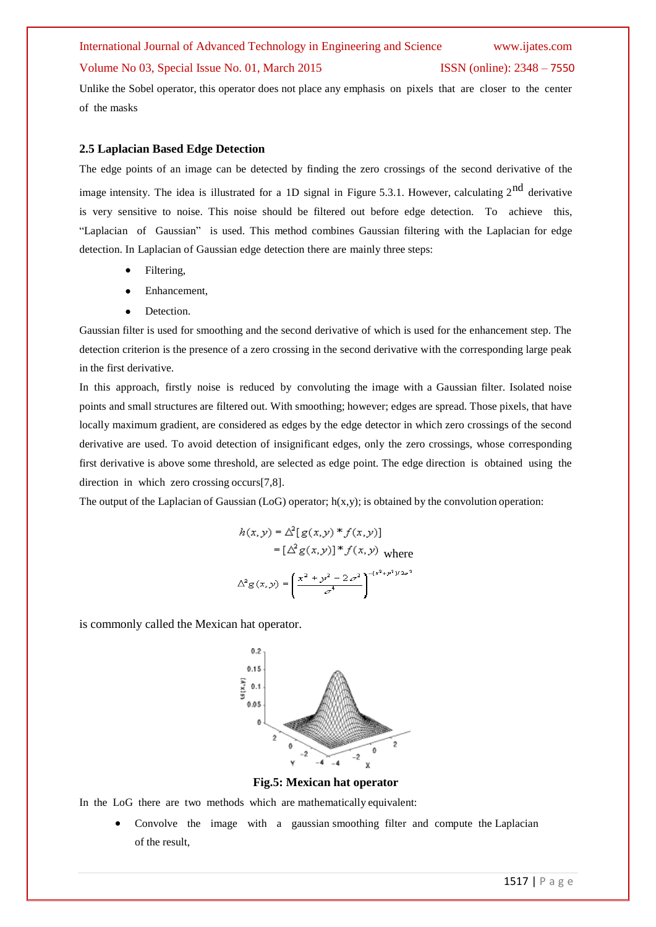# International Journal of Advanced Technology in Engineering and Science www.ijates.com Volume No 03, Special Issue No. 01, March 2015 ISSN (online): 2348 – 7550

Unlike the Sobel operator, this operator does not place any emphasis on pixels that are closer to the center of the masks

#### **2.5 Laplacian Based Edge Detection**

The edge points of an image can be detected by finding the zero crossings of the second derivative of the image intensity. The idea is illustrated for a 1D signal in Figure 5.3.1. However, calculating  $2^{nd}$  derivative is very sensitive to noise. This noise should be filtered out before edge detection. To achieve this, "Laplacian of Gaussian" is used. This method combines Gaussian filtering with the Laplacian for edge detection. In Laplacian of Gaussian edge detection there are mainly three steps:

- Filtering,
- Enhancement,
- Detection.

Gaussian filter is used for smoothing and the second derivative of which is used for the enhancement step. The detection criterion is the presence of a zero crossing in the second derivative with the corresponding large peak in the first derivative.

In this approach, firstly noise is reduced by convoluting the image with a Gaussian filter. Isolated noise points and small structures are filtered out. With smoothing; however; edges are spread. Those pixels, that have locally maximum gradient, are considered as edges by the edge detector in which zero crossings of the second derivative are used. To avoid detection of insignificant edges, only the zero crossings, whose corresponding first derivative is above some threshold, are selected as edge point. The edge direction is obtained using the direction in which zero crossing occurs[7,8].

The output of the Laplacian of Gaussian (LoG) operator;  $h(x,y)$ ; is obtained by the convolution operation:

$$
h(x, y) = \Delta^2[g(x, y) * f(x, y)]
$$
  
= 
$$
[\Delta^2 g(x, y)] * f(x, y)
$$
 where  

$$
\Delta^2 g(x, y) = \left(\frac{x^2 + y^2 - 2\sigma^2}{\sigma^4}\right)^{-(x^2 + y^2)/2\sigma^2}
$$

is commonly called the Mexican hat operator.



**Fig.5: Mexican hat operator**

In the LoG there are two methods which are mathematically equivalent:

 Convolve the image with a gaussian smoothing filter and compute the Laplacian of the result,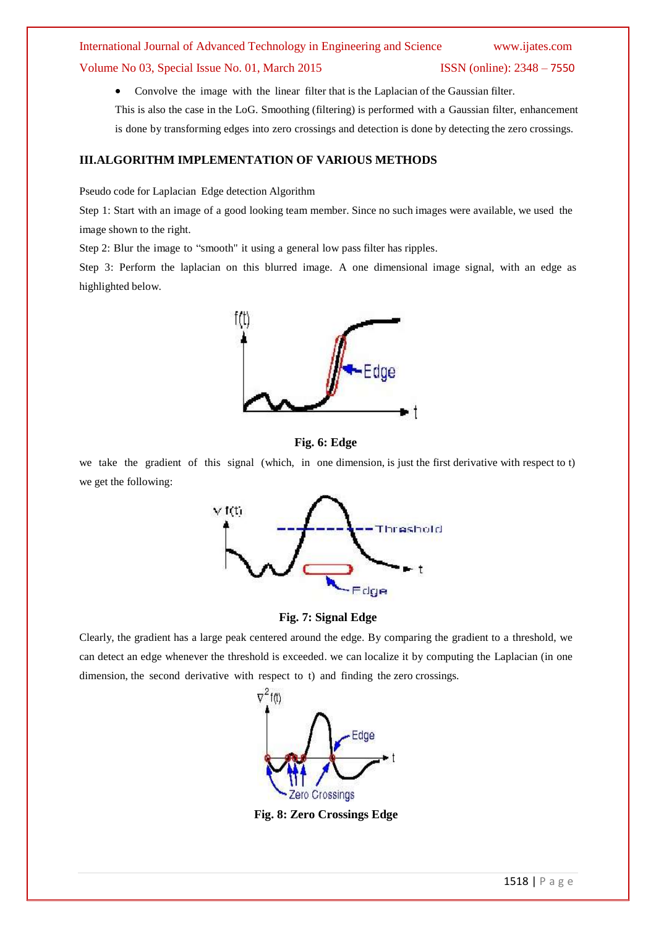# International Journal of Advanced Technology in Engineering and Science www.ijates.com Volume No 03, Special Issue No. 01, March 2015 ISSN (online): 2348 – 7550

 Convolve the image with the linear filter that is the Laplacian of the Gaussian filter. This is also the case in the LoG. Smoothing (filtering) is performed with a Gaussian filter, enhancement is done by transforming edges into zero crossings and detection is done by detecting the zero crossings.

### **III.ALGORITHM IMPLEMENTATION OF VARIOUS METHODS**

Pseudo code for Laplacian Edge detection Algorithm

Step 1: Start with an image of a good looking team member. Since no such images were available, we used the image shown to the right.

Step 2: Blur the image to "smooth" it using a general low pass filter has ripples.

Step 3: Perform the laplacian on this blurred image. A one dimensional image signal, with an edge as highlighted below.





we take the gradient of this signal (which, in one dimension, is just the first derivative with respect to t) we get the following:



#### **Fig. 7: Signal Edge**

Clearly, the gradient has a large peak centered around the edge. By comparing the gradient to a threshold, we can detect an edge whenever the threshold is exceeded. we can localize it by computing the Laplacian (in one dimension, the second derivative with respect to t) and finding the zero crossings.



**Fig. 8: Zero Crossings Edge**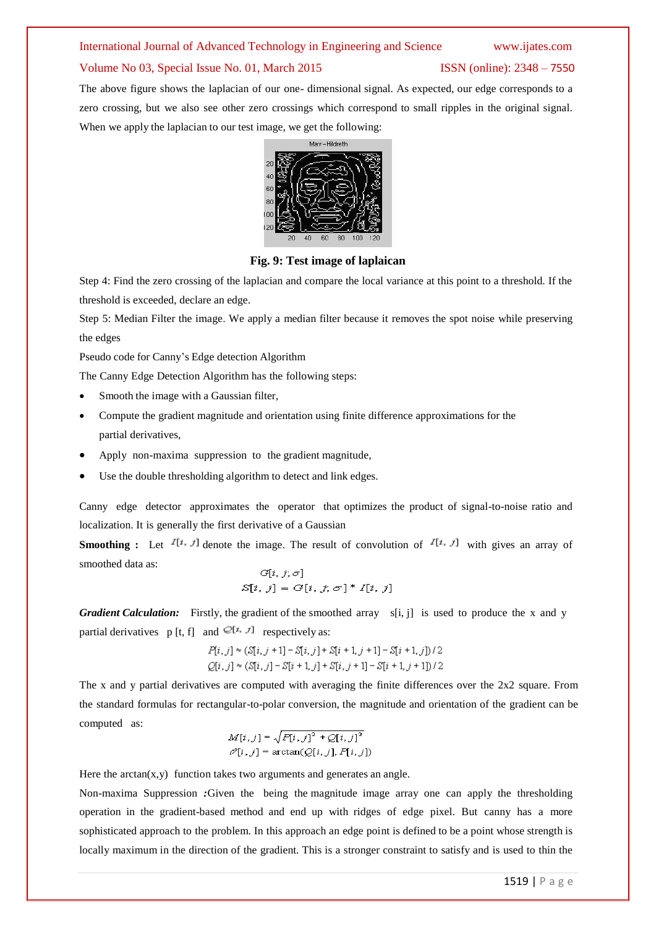### International Journal of Advanced Technology in Engineering and Science www.ijates.com

#### Volume No 03, Special Issue No. 01, March 2015 ISSN (online): 2348 – 7550

The above figure shows the laplacian of our one- dimensional signal. As expected, our edge corresponds to a zero crossing, but we also see other zero crossings which correspond to small ripples in the original signal. When we apply the laplacian to our test image, we get the following:



**Fig. 9: Test image of laplaican**

Step 4: Find the zero crossing of the laplacian and compare the local variance at this point to a threshold. If the threshold is exceeded, declare an edge.

Step 5: Median Filter the image. We apply a median filter because it removes the spot noise while preserving the edges

Pseudo code for Canny's Edge detection Algorithm

The Canny Edge Detection Algorithm has the following steps:

- Smooth the image with a Gaussian filter,
- Compute the gradient magnitude and orientation using finite difference approximations for the partial derivatives,
- Apply non-maxima suppression to the gradient magnitude,
- Use the double thresholding algorithm to detect and link edges.

Canny edge detector approximates the operator that optimizes the product of signal-to-noise ratio and localization. It is generally the first derivative of a Gaussian

**Smoothing :** Let  $I[t, t]$  denote the image. The result of convolution of  $I[t, t]$  with gives an array of smoothed data as:

$$
G[i, j; \sigma]
$$

$$
S[i, j] = G[i, j; \sigma]^* I[i, j]
$$

*Gradient Calculation:* Firstly, the gradient of the smoothed array s[i, j] is used to produce the x and y partial derivatives p [t, f] and  $\infty$ [ $t, x$ ] respectively as:

$$
P[i, j] \approx (\mathcal{S}[i, j+1] - \mathcal{S}[i, j] + \mathcal{S}[i+1, j+1] - \mathcal{S}[i+1, j]) / 2
$$
  

$$
Q[i, j] \approx (\mathcal{S}[i, j] - \mathcal{S}[i+1, j] + \mathcal{S}[i, j+1] - \mathcal{S}[i+1, j+1]) / 2
$$

The x and y partial derivatives are computed with averaging the finite differences over the  $2x2$  square. From the standard formulas for rectangular-to-polar conversion, the magnitude and orientation of the gradient can be computed as:

$$
M[i,j] = \sqrt{P[i,j]^2 + Q[i,j]^2}
$$
  

$$
\mathcal{O}[i,j] = \arctan(Q[i,j], P[i,j])
$$

Here the  $arctan(x, y)$  function takes two arguments and generates an angle.

Non-maxima Suppression *:*Given the being the magnitude image array one can apply the thresholding operation in the gradient-based method and end up with ridges of edge pixel. But canny has a more sophisticated approach to the problem. In this approach an edge point is defined to be a point whose strength is locally maximum in the direction of the gradient. This is a stronger constraint to satisfy and is used to thin the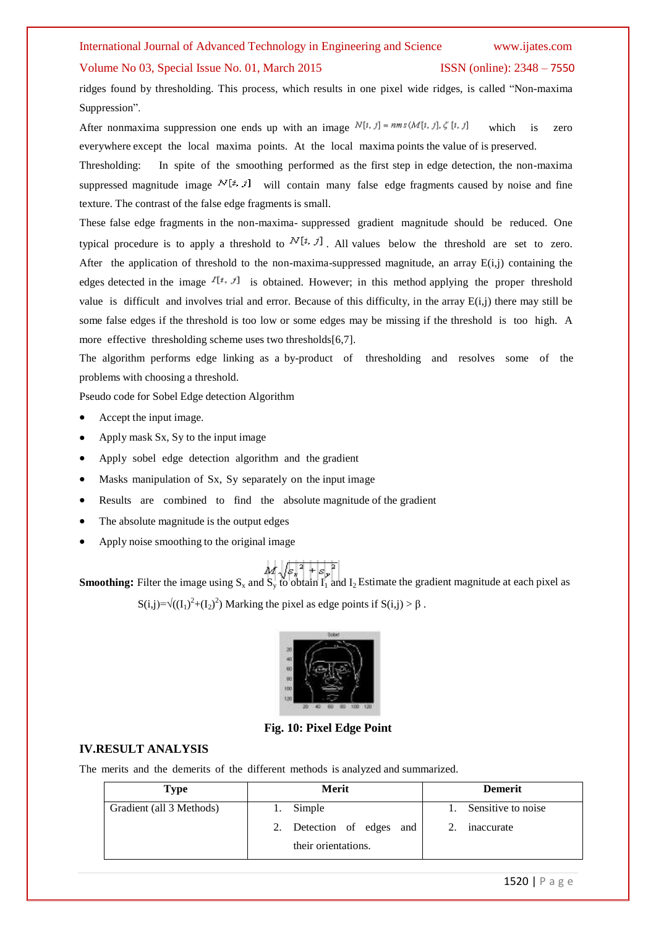#### International Journal of Advanced Technology in Engineering and Science www.ijates.com

#### Volume No 03, Special Issue No. 01, March 2015 ISSN (online): 2348 – 7550

ridges found by thresholding. This process, which results in one pixel wide ridges, is called "Non-maxima Suppression".

After nonmaxima suppression one ends up with an image  $N[t, j] = nm s(M[t, j], \zeta[t, j])$  which is zero everywhere except the local maxima points. At the local maxima points the value of is preserved.

Thresholding:In spite of the smoothing performed as the first step in edge detection, the non-maxima suppressed magnitude image  $N[i, j]$  will contain many false edge fragments caused by noise and fine texture. The contrast of the false edge fragments is small.

These false edge fragments in the non-maxima- suppressed gradient magnitude should be reduced. One typical procedure is to apply a threshold to  $N[i, j]$ . All values below the threshold are set to zero. After the application of threshold to the non-maxima-suppressed magnitude, an array E(i,j) containing the edges detected in the image  $I[t, J]$  is obtained. However; in this method applying the proper threshold value is difficult and involves trial and error. Because of this difficulty, in the array E(i,j) there may still be some false edges if the threshold is too low or some edges may be missing if the threshold is too high. A more effective thresholding scheme uses two thresholds[6,7].

The algorithm performs edge linking as a by-product of thresholding and resolves some of the problems with choosing a threshold.

Pseudo code for Sobel Edge detection Algorithm

- Accept the input image.
- Apply mask Sx, Sy to the input image
- Apply sobel edge detection algorithm and the gradient
- Masks manipulation of Sx, Sy separately on the input image
- Results are combined to find the absolute magnitude of the gradient
- The absolute magnitude is the output edges
- Apply noise smoothing to the original image

**Smoothing:** Filter the image using  $S_x$  and  $S_y$  to obtain  $I_1$  and  $I_2$  Estimate the gradient magnitude at each pixel as

 $S(i,j)=\sqrt{\left(\left(I_1\right)^2+\left(I_2\right)^2\right)}$  Marking the pixel as edge points if  $S(i,j) > \beta$ .



**Fig. 10: Pixel Edge Point**

#### **IV.RESULT ANALYSIS**

The merits and the demerits of the different methods is analyzed and summarized.

| Type                     | Merit                     | <b>Demerit</b>        |
|--------------------------|---------------------------|-----------------------|
| Gradient (all 3 Methods) | Simple                    | 1. Sensitive to noise |
|                          | 2. Detection of edges and | inaccurate            |
|                          | their orientations.       |                       |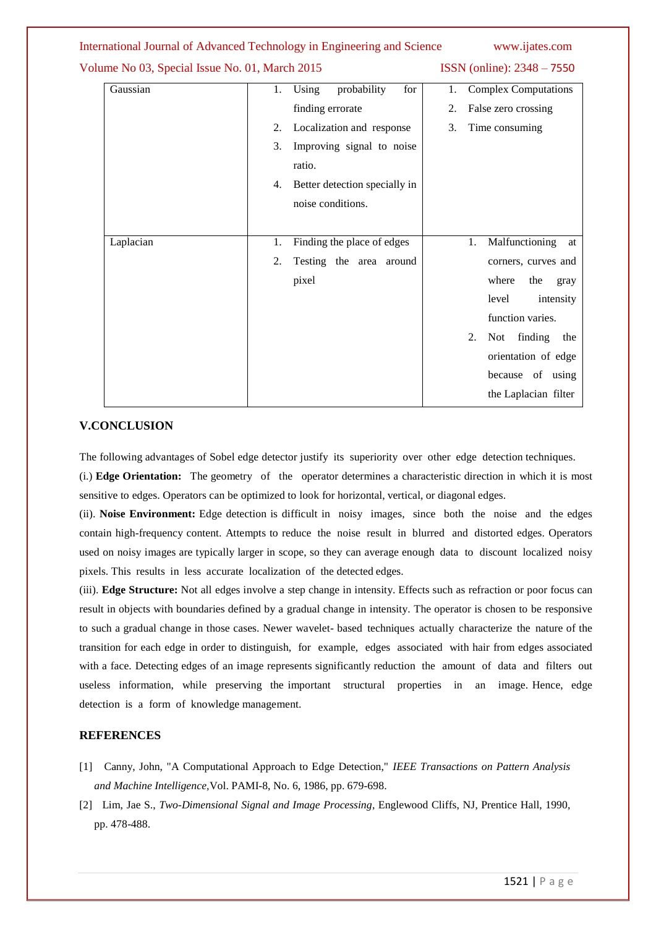|                                                | International Journal of Advanced Technology in Engineering and Science | www.ijates.com                    |
|------------------------------------------------|-------------------------------------------------------------------------|-----------------------------------|
| Volume No 03, Special Issue No. 01, March 2015 |                                                                         | ISSN (online): 2348 - 7550        |
| Gaussian                                       | Using<br>probability<br>for<br>1.                                       | <b>Complex Computations</b><br>1. |
|                                                | finding errorate                                                        | False zero crossing<br>2.         |
|                                                | Localization and response<br>2.                                         | Time consuming<br>3.              |
|                                                | Improving signal to noise<br>3.                                         |                                   |
|                                                | ratio.                                                                  |                                   |
|                                                | Better detection specially in<br>4.                                     |                                   |
|                                                | noise conditions.                                                       |                                   |
|                                                |                                                                         |                                   |
| Laplacian                                      | Finding the place of edges<br>1.                                        | Malfunctioning<br>1.<br>at        |
|                                                | 2.<br>Testing the area around                                           | corners, curves and               |
|                                                | pixel                                                                   | where<br>the<br>gray              |
|                                                |                                                                         | level<br>intensity                |
|                                                |                                                                         | function varies.                  |
|                                                |                                                                         | 2.<br>finding<br>Not<br>the       |
|                                                |                                                                         | orientation of edge               |
|                                                |                                                                         | because of using                  |
|                                                |                                                                         | the Laplacian filter              |

### **V.CONCLUSION**

The following advantages of Sobel edge detector justify its superiority over other edge detection techniques.

(i.) **Edge Orientation:** The geometry of the operator determines a characteristic direction in which it is most sensitive to edges. Operators can be optimized to look for horizontal, vertical, or diagonal edges.

(ii). **Noise Environment:** Edge detection is difficult in noisy images, since both the noise and the edges contain high-frequency content. Attempts to reduce the noise result in blurred and distorted edges. Operators used on noisy images are typically larger in scope, so they can average enough data to discount localized noisy pixels. This results in less accurate localization of the detected edges.

(iii). **Edge Structure:** Not all edges involve a step change in intensity. Effects such as refraction or poor focus can result in objects with boundaries defined by a gradual change in intensity. The operator is chosen to be responsive to such a gradual change in those cases. Newer wavelet- based techniques actually characterize the nature of the transition for each edge in order to distinguish, for example, edges associated with hair from edges associated with a face. Detecting edges of an image represents significantly reduction the amount of data and filters out useless information, while preserving the important structural properties in an image. Hence, edge detection is a form of knowledge management.

### **REFERENCES**

- [1] Canny, John, "A Computational Approach to Edge Detection," *IEEE Transactions on Pattern Analysis and Machine Intelligence,*Vol. PAMI-8, No. 6, 1986, pp. 679-698.
- [2] Lim, Jae S., *Two-Dimensional Signal and Image Processing*, Englewood Cliffs, NJ, Prentice Hall, 1990, pp. 478-488.